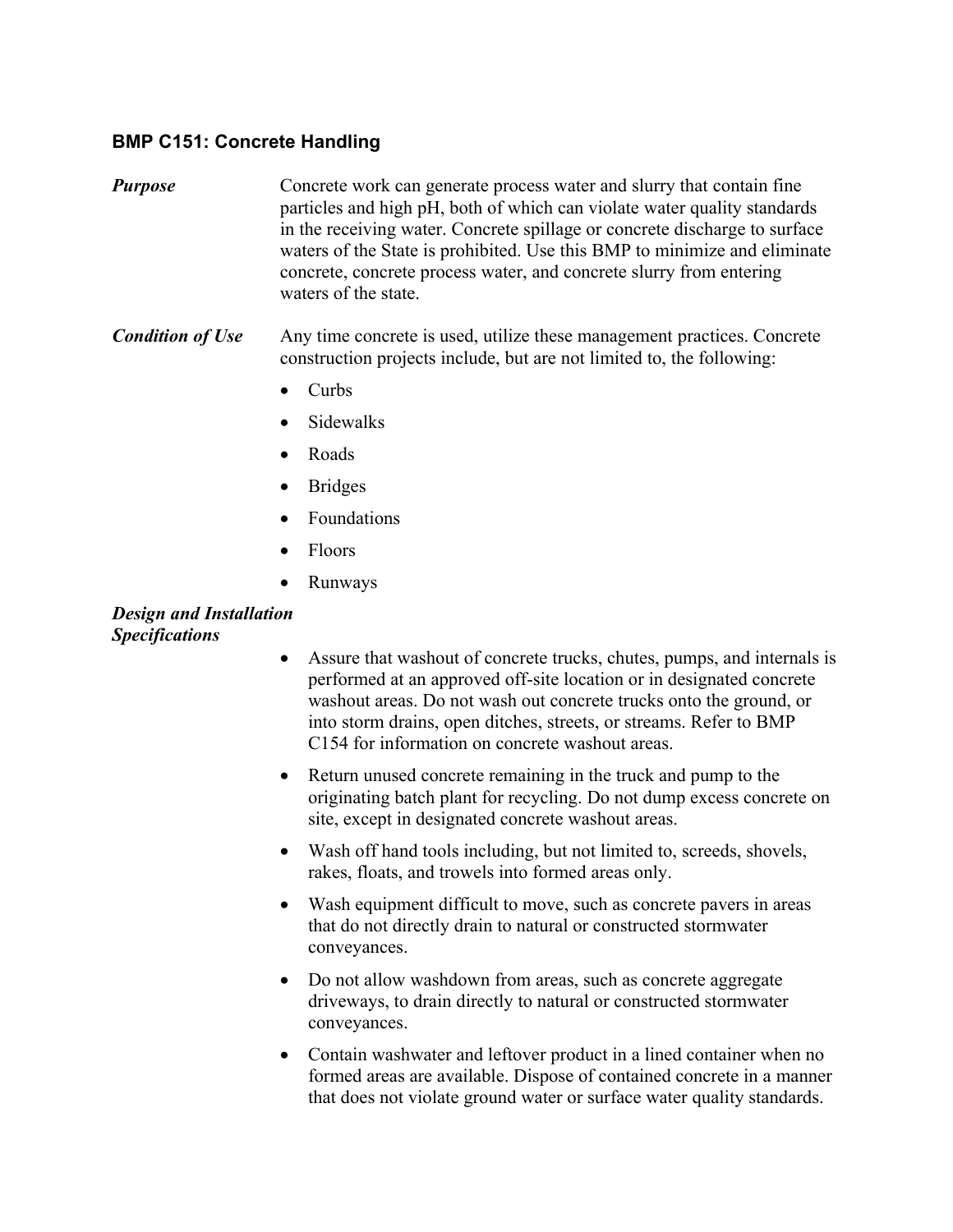## **BMP C151: Concrete Handling**

- *Purpose* Concrete work can generate process water and slurry that contain fine particles and high pH, both of which can violate water quality standards in the receiving water. Concrete spillage or concrete discharge to surface waters of the State is prohibited. Use this BMP to minimize and eliminate concrete, concrete process water, and concrete slurry from entering waters of the state.
- *Condition of Use* Any time concrete is used, utilize these management practices. Concrete construction projects include, but are not limited to, the following:
	- $\bullet$  Curbs
	- **Sidewalks**
	- Roads
	- Bridges
	- Foundations
	- Floors
	- Runways

## *Design and Installation Specifications*

- Assure that washout of concrete trucks, chutes, pumps, and internals is performed at an approved off-site location or in designated concrete washout areas. Do not wash out concrete trucks onto the ground, or into storm drains, open ditches, streets, or streams. Refer to BMP C154 for information on concrete washout areas.
- Return unused concrete remaining in the truck and pump to the originating batch plant for recycling. Do not dump excess concrete on site, except in designated concrete washout areas.
- Wash off hand tools including, but not limited to, screeds, shovels, rakes, floats, and trowels into formed areas only.
- Wash equipment difficult to move, such as concrete pavers in areas that do not directly drain to natural or constructed stormwater conveyances.
- Do not allow washdown from areas, such as concrete aggregate driveways, to drain directly to natural or constructed stormwater conveyances.
- Contain washwater and leftover product in a lined container when no formed areas are available. Dispose of contained concrete in a manner that does not violate ground water or surface water quality standards.